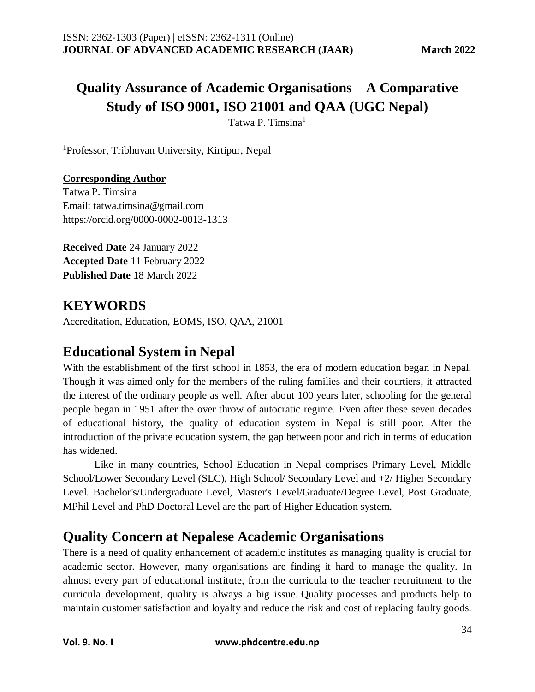# **Quality Assurance of Academic Organisations – A Comparative Study of ISO 9001, ISO 21001 and QAA (UGC Nepal)**

Tatwa P. Timsina<sup>1</sup>

<sup>1</sup>Professor, Tribhuvan University, Kirtipur, Nepal

### **Corresponding Author**

Tatwa P. Timsina Email: tatwa.timsina@gmail.com https://orcid.org/0000-0002-0013-1313

**Received Date** 24 January 2022 **Accepted Date** 11 February 2022 **Published Date** 18 March 2022

## **KEYWORDS**

Accreditation, Education, EOMS, ISO, QAA, 21001

### **Educational System in Nepal**

With the establishment of the first school in 1853, the era of modern education began in Nepal. Though it was aimed only for the members of the ruling families and their courtiers, it attracted the interest of the ordinary people as well. After about 100 years later, schooling for the general people began in 1951 after the over throw of autocratic regime. Even after these seven decades of educational history, the quality of education system in Nepal is still poor. After the introduction of the private education system, the gap between poor and rich in terms of education has widened.

Like in many countries, School Education in Nepal comprises Primary Level, Middle School/Lower Secondary Level (SLC), High School/ Secondary Level and +2/ Higher Secondary Level. Bachelor's/Undergraduate Level, Master's Level/Graduate/Degree Level, Post Graduate, MPhil Level and PhD Doctoral Level are the part of Higher Education system.

## **Quality Concern at Nepalese Academic Organisations**

There is a need of quality enhancement of academic institutes as managing quality is crucial for academic sector. However, many organisations are finding it hard to manage the quality. In almost every part of educational institute, from the curricula to the teacher recruitment to the curricula development, quality is always a big issue. Quality processes and products help to maintain customer satisfaction and loyalty and reduce the risk and cost of replacing faulty goods.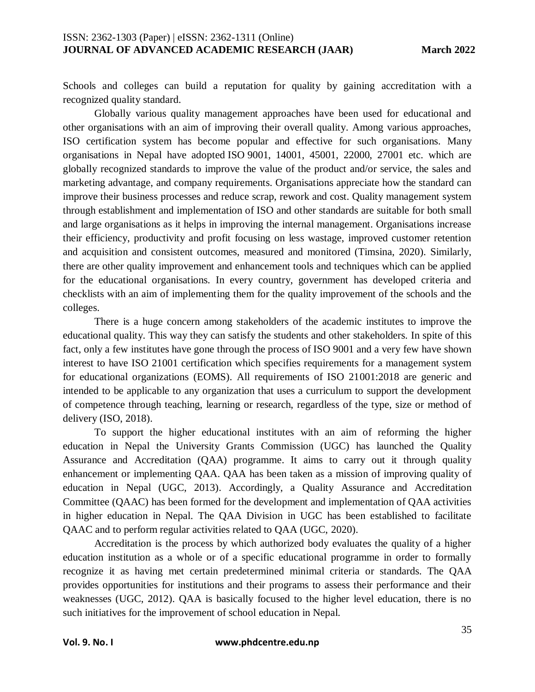Schools and colleges can build a reputation for quality by gaining accreditation with a recognized quality standard.

Globally various quality management approaches have been used for educational and other organisations with an aim of improving their overall quality. Among various approaches, ISO certification system has become popular and effective for such organisations. Many organisations in Nepal have adopted ISO 9001, 14001, 45001, 22000, 27001 etc. which are globally recognized standards to improve the value of the product and/or service, the sales and marketing advantage, and company requirements. Organisations appreciate how the standard can improve their business processes and reduce scrap, rework and cost. Quality management system through establishment and implementation of ISO and other standards are suitable for both small and large organisations as it helps in improving the internal management. Organisations increase their efficiency, productivity and profit focusing on less wastage, improved customer retention and acquisition and consistent outcomes, measured and monitored (Timsina, 2020). Similarly, there are other quality improvement and enhancement tools and techniques which can be applied for the educational organisations. In every country, government has developed criteria and checklists with an aim of implementing them for the quality improvement of the schools and the colleges.

There is a huge concern among stakeholders of the academic institutes to improve the educational quality. This way they can satisfy the students and other stakeholders. In spite of this fact, only a few institutes have gone through the process of ISO 9001 and a very few have shown interest to have ISO 21001 certification which specifies requirements for a management system for educational organizations (EOMS). All requirements of ISO 21001:2018 are generic and intended to be applicable to any organization that uses a curriculum to support the development of competence through teaching, learning or research, regardless of the type, size or method of delivery (ISO, 2018).

To support the higher educational institutes with an aim of reforming the higher education in Nepal the University Grants Commission (UGC) has launched the Quality Assurance and Accreditation (QAA) programme. It aims to carry out it through quality enhancement or implementing QAA. QAA has been taken as a mission of improving quality of education in Nepal (UGC, 2013). Accordingly, a Quality Assurance and Accreditation Committee (QAAC) has been formed for the development and implementation of QAA activities in higher education in Nepal. The QAA Division in UGC has been established to facilitate QAAC and to perform regular activities related to QAA (UGC, 2020).

Accreditation is the process by which authorized body evaluates the quality of a higher education institution as a whole or of a specific educational programme in order to formally recognize it as having met certain predetermined minimal criteria or standards. The QAA provides opportunities for institutions and their programs to assess their performance and their weaknesses (UGC, 2012). QAA is basically focused to the higher level education, there is no such initiatives for the improvement of school education in Nepal.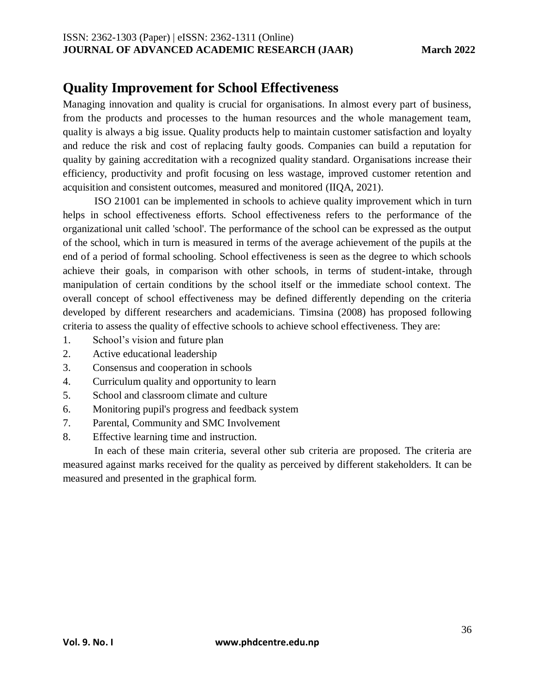## **Quality Improvement for School Effectiveness**

Managing innovation and quality is crucial for organisations. In almost every part of business, from the products and processes to the human resources and the whole management team, quality is always a big issue. Quality products help to maintain customer satisfaction and loyalty and reduce the risk and cost of replacing faulty goods. Companies can build a reputation for quality by gaining accreditation with a recognized quality standard. Organisations increase their efficiency, productivity and profit focusing on less wastage, improved customer retention and acquisition and consistent outcomes, measured and monitored (IIQA, 2021).

ISO 21001 can be implemented in schools to achieve quality improvement which in turn helps in school effectiveness efforts. School effectiveness refers to the performance of the organizational unit called 'school'. The performance of the school can be expressed as the output of the school, which in turn is measured in terms of the average achievement of the pupils at the end of a period of formal schooling. School effectiveness is seen as the degree to which schools achieve their goals, in comparison with other schools, in terms of student-intake, through manipulation of certain conditions by the school itself or the immediate school context. The overall concept of school effectiveness may be defined differently depending on the criteria developed by different researchers and academicians. Timsina (2008) has proposed following criteria to assess the quality of effective schools to achieve school effectiveness. They are:

- 1. School's vision and future plan
- 2. Active educational leadership
- 3. Consensus and cooperation in schools
- 4. Curriculum quality and opportunity to learn
- 5. School and classroom climate and culture
- 6. Monitoring pupil's progress and feedback system
- 7. Parental, Community and SMC Involvement
- 8. Effective learning time and instruction.

In each of these main criteria, several other sub criteria are proposed. The criteria are measured against marks received for the quality as perceived by different stakeholders. It can be measured and presented in the graphical form.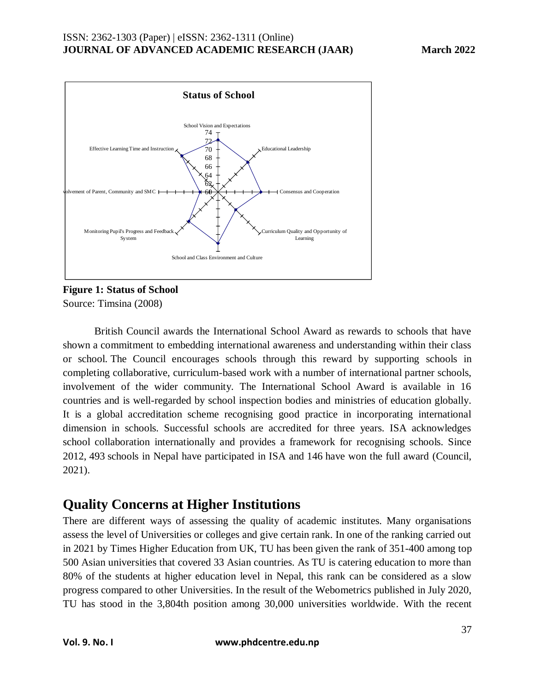

**Figure 1: Status of School**  Source: Timsina (2008)

British Council awards the International School Award as rewards to schools that have shown a commitment to embedding international awareness and understanding within their class or school. The Council encourages schools through this reward by supporting schools in completing collaborative, curriculum-based work with a number of international partner schools, involvement of the wider community. The International School Award is available in 16 countries and is well-regarded by school inspection bodies and ministries of education globally. It is a global accreditation scheme recognising good practice in incorporating international dimension in schools. Successful schools are accredited for three years. ISA acknowledges school collaboration internationally and provides a framework for recognising schools. Since 2012, 493 schools in Nepal have participated in ISA and 146 have won the full award (Council, 2021).

## **Quality Concerns at Higher Institutions**

There are different ways of assessing the quality of academic institutes. Many organisations assess the level of Universities or colleges and give certain rank. In one of the ranking carried out in 2021 by Times Higher Education from UK, TU has been given the rank of 351-400 among top 500 Asian universities that covered 33 Asian countries. As TU is catering education to more than 80% of the students at higher education level in Nepal, this rank can be considered as a slow progress compared to other Universities. In the result of the Webometrics published in July 2020, TU has stood in the 3,804th position among 30,000 universities worldwide. With the recent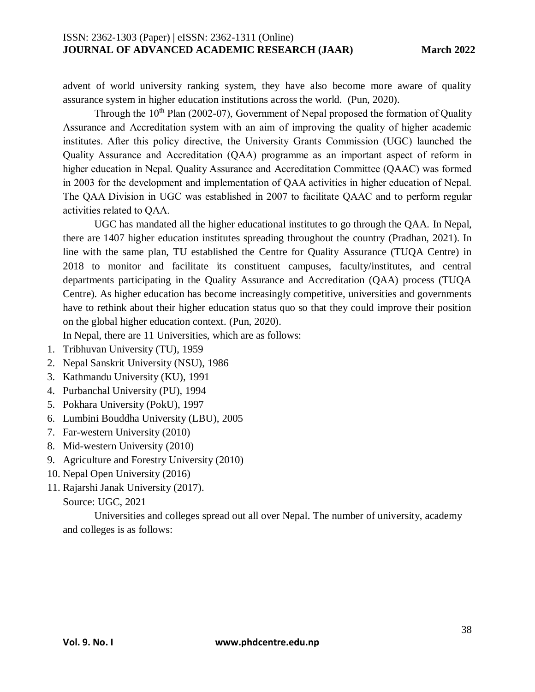advent of world university ranking system, they have also become more aware of quality assurance system in higher education institutions across the world. (Pun, 2020).

Through the  $10<sup>th</sup>$  Plan (2002-07), Government of Nepal proposed the formation of Quality Assurance and Accreditation system with an aim of improving the quality of higher academic institutes. After this policy directive, the University Grants Commission (UGC) launched the Quality Assurance and Accreditation (QAA) programme as an important aspect of reform in higher education in Nepal. Quality Assurance and Accreditation Committee (QAAC) was formed in 2003 for the development and implementation of QAA activities in higher education of Nepal. The QAA Division in UGC was established in 2007 to facilitate QAAC and to perform regular activities related to QAA.

UGC has mandated all the higher educational institutes to go through the QAA. In Nepal, there are 1407 higher education institutes spreading throughout the country (Pradhan, 2021). In line with the same plan, TU established the Centre for Quality Assurance (TUQA Centre) in 2018 to monitor and facilitate its constituent campuses, faculty/institutes, and central departments participating in the Quality Assurance and Accreditation (QAA) process (TUQA Centre). As higher education has become increasingly competitive, universities and governments have to rethink about their higher education status quo so that they could improve their position on the global higher education context. (Pun, 2020).

In Nepal, there are 11 Universities, which are as follows:

- 1. Tribhuvan University (TU), 1959
- 2. Nepal Sanskrit University (NSU), 1986
- 3. Kathmandu University (KU), 1991
- 4. Purbanchal University (PU), 1994
- 5. Pokhara University (PokU), 1997
- 6. Lumbini Bouddha University (LBU), 2005
- 7. Far-western University (2010)
- 8. Mid-western University (2010)
- 9. Agriculture and Forestry University (2010)
- 10. Nepal Open University (2016)
- 11. Rajarshi Janak University (2017).
- Source: UGC, 2021

Universities and colleges spread out all over Nepal. The number of university, academy and colleges is as follows: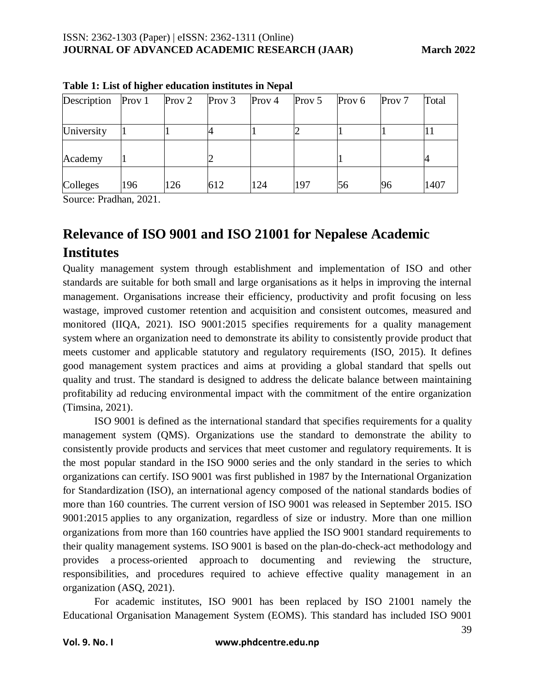| Prov 1 |     |                   |                          |                   |                 |                         | Total                   |
|--------|-----|-------------------|--------------------------|-------------------|-----------------|-------------------------|-------------------------|
|        |     |                   |                          |                   |                 |                         |                         |
|        |     |                   |                          | ∠                 |                 |                         |                         |
|        |     |                   |                          |                   |                 |                         |                         |
|        |     |                   |                          |                   |                 |                         |                         |
| 196    | 126 |                   | 124                      |                   |                 |                         | 1407                    |
|        |     | Prov <sub>2</sub> | Prov <sub>3</sub><br>612 | Prov <sub>4</sub> | Prov $5$<br>197 | Prov <sub>6</sub><br>56 | Prov <sub>7</sub><br>96 |

**Table 1: List of higher education institutes in Nepal**

Source: Pradhan, 2021.

# **Relevance of ISO 9001 and ISO 21001 for Nepalese Academic Institutes**

Quality management system through establishment and implementation of ISO and other standards are suitable for both small and large organisations as it helps in improving the internal management. Organisations increase their efficiency, productivity and profit focusing on less wastage, improved customer retention and acquisition and consistent outcomes, measured and monitored (IIQA, 2021). ISO 9001:2015 specifies requirements for a quality management system where an organization need to demonstrate its ability to consistently provide product that meets customer and applicable statutory and regulatory requirements (ISO, 2015). It defines good management system practices and aims at providing a global standard that spells out quality and trust. The standard is designed to address the delicate balance between maintaining profitability ad reducing environmental impact with the commitment of the entire organization (Timsina, 2021).

ISO 9001 is defined as the international standard that specifies requirements for a [quality](https://asq.org/quality-resources/quality-management-system)  [management system \(QMS\).](https://asq.org/quality-resources/quality-management-system) Organizations use the standard to demonstrate the ability to consistently provide products and services that meet customer and regulatory requirements. It is the most popular standard in the [ISO 9000 series](https://asq.org/quality-resources/iso-9000) and the only standard in the series to which organizations can certify. ISO 9001 was first published in 1987 by the [International Organization](https://asq.org/quality-resources/standards-101#iso)  [for Standardization \(ISO\),](https://asq.org/quality-resources/standards-101#iso) an international agency composed of the national standards bodies of more than 160 countries. The [current version of ISO 9001](https://asq.org/quality-press/display-item?item=T1040) was released in September 2015. [ISO](https://asq.org/quality-press/display-item?item=T1040)  [9001:2015](https://asq.org/quality-press/display-item?item=T1040) applies to any organization, regardless of size or industry. More than one million organizations from more than 160 countries have applied the ISO 9001 standard requirements to their quality management systems. ISO 9001 is based on the [plan-do-check-act methodology](https://asq.org/quality-resources/pdca-cycle) and provides a [process-oriented approach](https://asq.org/quality-progress/2001/12/standards-outlook/the-process-approach-to-qms-in-iso-9001-and.html) to documenting and reviewing the structure, responsibilities, and procedures required to achieve effective quality management in an organization (ASQ, 2021).

For academic institutes, ISO 9001 has been replaced by ISO 21001 namely the Educational Organisation Management System (EOMS). This standard has included ISO 9001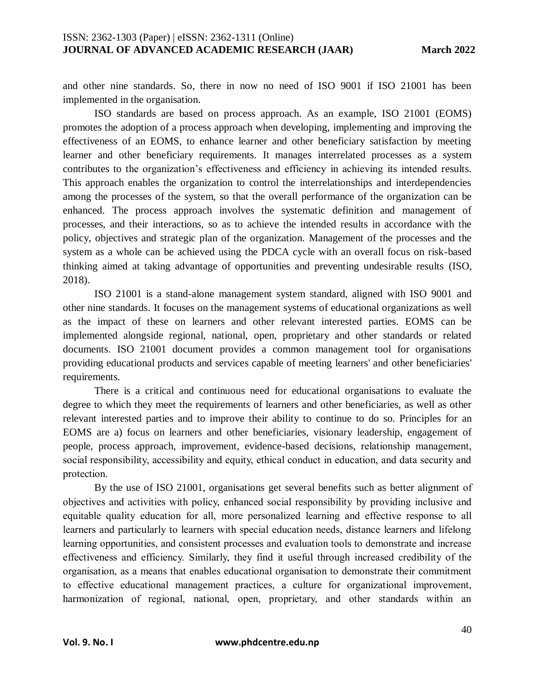and other nine standards. So, there in now no need of ISO 9001 if ISO 21001 has been implemented in the organisation.

ISO standards are based on process approach. As an example, ISO 21001 (EOMS) promotes the adoption of a process approach when developing, implementing and improving the effectiveness of an EOMS, to enhance learner and other beneficiary satisfaction by meeting learner and other beneficiary requirements. It manages interrelated processes as a system contributes to the organization's effectiveness and efficiency in achieving its intended results. This approach enables the organization to control the interrelationships and interdependencies among the processes of the system, so that the overall performance of the organization can be enhanced. The process approach involves the systematic definition and management of processes, and their interactions, so as to achieve the intended results in accordance with the policy, objectives and strategic plan of the organization. Management of the processes and the system as a whole can be achieved using the PDCA cycle with an overall focus on risk-based thinking aimed at taking advantage of opportunities and preventing undesirable results (ISO, 2018).

ISO 21001 is a stand-alone management system standard, aligned with ISO 9001 and other nine standards. It focuses on the management systems of educational organizations as well as the impact of these on learners and other relevant interested parties. EOMS can be implemented alongside regional, national, open, proprietary and other standards or related documents. ISO 21001 document provides a common management tool for organisations providing educational products and services capable of meeting learners' and other beneficiaries' requirements.

There is a critical and continuous need for educational organisations to evaluate the degree to which they meet the requirements of learners and other beneficiaries, as well as other relevant interested parties and to improve their ability to continue to do so. Principles for an EOMS are a) focus on learners and other beneficiaries, visionary leadership, engagement of people, process approach, improvement, evidence-based decisions, relationship management, social responsibility, accessibility and equity, ethical conduct in education, and data security and protection.

By the use of ISO 21001, organisations get several benefits such as better alignment of objectives and activities with policy, enhanced social responsibility by providing inclusive and equitable quality education for all, more personalized learning and effective response to all learners and particularly to learners with special education needs, distance learners and lifelong learning opportunities, and consistent processes and evaluation tools to demonstrate and increase effectiveness and efficiency. Similarly, they find it useful through increased credibility of the organisation, as a means that enables educational organisation to demonstrate their commitment to effective educational management practices, a culture for organizational improvement, harmonization of regional, national, open, proprietary, and other standards within an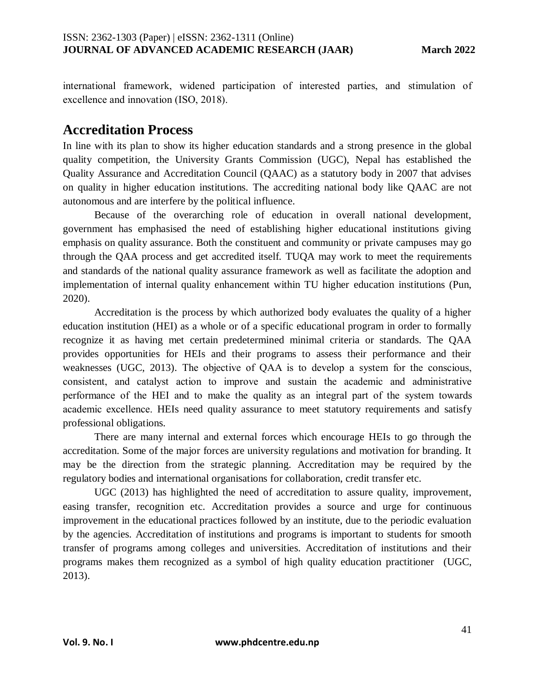international framework, widened participation of interested parties, and stimulation of excellence and innovation (ISO, 2018).

### **Accreditation Process**

In line with its plan to show its higher education standards and a strong presence in the global quality competition, the University Grants Commission (UGC), Nepal has established the Quality Assurance and Accreditation Council (QAAC) as a statutory body in 2007 that advises on quality in higher education institutions. The accrediting national body like QAAC are not autonomous and are interfere by the political influence.

Because of the overarching role of education in overall national development, government has emphasised the need of establishing higher educational institutions giving emphasis on quality assurance. Both the constituent and community or private campuses may go through the QAA process and get accredited itself. TUQA may work to meet the requirements and standards of the national quality assurance framework as well as facilitate the adoption and implementation of internal quality enhancement within TU higher education institutions (Pun, 2020).

Accreditation is the process by which authorized body evaluates the quality of a higher education institution (HEI) as a whole or of a specific educational program in order to formally recognize it as having met certain predetermined minimal criteria or standards. The QAA provides opportunities for HEIs and their programs to assess their performance and their weaknesses (UGC, 2013). The objective of QAA is to develop a system for the conscious, consistent, and catalyst action to improve and sustain the academic and administrative performance of the HEI and to make the quality as an integral part of the system towards academic excellence. HEIs need quality assurance to meet statutory requirements and satisfy professional obligations.

There are many internal and external forces which encourage HEIs to go through the accreditation. Some of the major forces are university regulations and motivation for branding. It may be the direction from the strategic planning. Accreditation may be required by the regulatory bodies and international organisations for collaboration, credit transfer etc.

UGC (2013) has highlighted the need of accreditation to assure quality, improvement, easing transfer, recognition etc. Accreditation provides a source and urge for continuous improvement in the educational practices followed by an institute, due to the periodic evaluation by the agencies. Accreditation of institutions and programs is important to students for smooth transfer of programs among colleges and universities. Accreditation of institutions and their programs makes them recognized as a symbol of high quality education practitioner (UGC, 2013).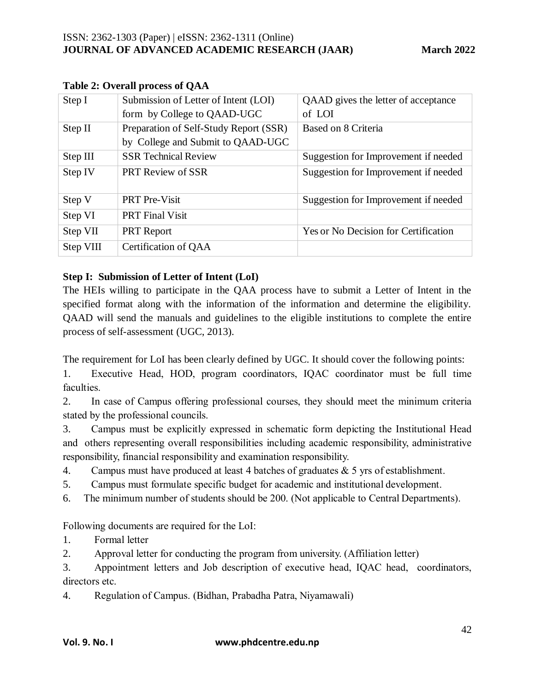| Submission of Letter of Intent (LOI)   | QAAD gives the letter of acceptance         |
|----------------------------------------|---------------------------------------------|
| form by College to QAAD-UGC            | of LOI                                      |
| Preparation of Self-Study Report (SSR) | Based on 8 Criteria                         |
| by College and Submit to QAAD-UGC      |                                             |
| <b>SSR Technical Review</b>            | Suggestion for Improvement if needed        |
| <b>PRT Review of SSR</b>               | Suggestion for Improvement if needed        |
|                                        |                                             |
| <b>PRT</b> Pre-Visit                   | Suggestion for Improvement if needed        |
| <b>PRT</b> Final Visit                 |                                             |
| <b>PRT</b> Report                      | <b>Yes or No Decision for Certification</b> |
| Certification of QAA                   |                                             |
|                                        |                                             |

#### **Table 2: Overall process of QAA**

### **Step I: Submission of Letter of Intent (LoI)**

The HEIs willing to participate in the QAA process have to submit a Letter of Intent in the specified format along with the information of the information and determine the eligibility. QAAD will send the manuals and guidelines to the eligible institutions to complete the entire process of self-assessment (UGC, 2013).

The requirement for LoI has been clearly defined by UGC. It should cover the following points:

1. Executive Head, HOD, program coordinators, IQAC coordinator must be full time faculties.

2. In case of Campus offering professional courses, they should meet the minimum criteria stated by the professional councils.

3. Campus must be explicitly expressed in schematic form depicting the Institutional Head and others representing overall responsibilities including academic responsibility, administrative responsibility, financial responsibility and examination responsibility.

4. Campus must have produced at least 4 batches of graduates  $& 5$  yrs of establishment.

- 5. Campus must formulate specific budget for academic and institutional development.
- 6. The minimum number of students should be 200. (Not applicable to Central Departments).

Following documents are required for the LoI:

1. Formal letter

2. Approval letter for conducting the program from university. (Affiliation letter)

3. Appointment letters and Job description of executive head, IQAC head, coordinators, directors etc.

4. Regulation of Campus. (Bidhan, Prabadha Patra, Niyamawali)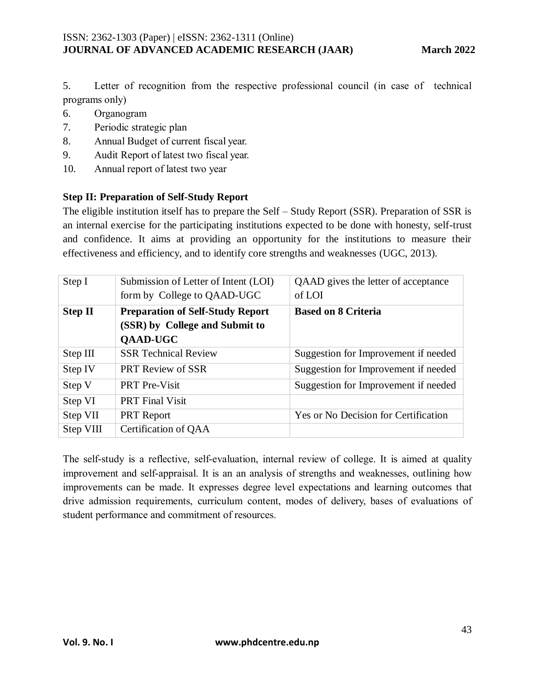5. Letter of recognition from the respective professional council (in case of technical programs only)

- 6. Organogram
- 7. Periodic strategic plan
- 8. Annual Budget of current fiscal year.
- 9. Audit Report of latest two fiscal year.
- 10. Annual report of latest two year

### **Step II: Preparation of Self-Study Report**

The eligible institution itself has to prepare the Self – Study Report (SSR). Preparation of SSR is an internal exercise for the participating institutions expected to be done with honesty, self-trust and confidence. It aims at providing an opportunity for the institutions to measure their effectiveness and efficiency, and to identify core strengths and weaknesses (UGC, 2013).

| Step I         | Submission of Letter of Intent (LOI)<br>form by College to QAAD-UGC                          | QAAD gives the letter of acceptance<br>of LOI |
|----------------|----------------------------------------------------------------------------------------------|-----------------------------------------------|
| <b>Step II</b> | <b>Preparation of Self-Study Report</b><br>(SSR) by College and Submit to<br><b>QAAD-UGC</b> | <b>Based on 8 Criteria</b>                    |
| Step III       | <b>SSR Technical Review</b>                                                                  | Suggestion for Improvement if needed          |
| Step IV        | <b>PRT Review of SSR</b>                                                                     | Suggestion for Improvement if needed          |
| Step V         | <b>PRT</b> Pre-Visit                                                                         | Suggestion for Improvement if needed          |
| Step VI        | <b>PRT</b> Final Visit                                                                       |                                               |
| Step VII       | <b>PRT</b> Report                                                                            | Yes or No Decision for Certification          |
| Step VIII      | Certification of QAA                                                                         |                                               |

The self-study is a reflective, self-evaluation, internal review of college. It is aimed at quality improvement and self-appraisal. It is an an analysis of strengths and weaknesses, outlining how improvements can be made. It expresses degree level expectations and learning outcomes that drive admission requirements, curriculum content, modes of delivery, bases of evaluations of student performance and commitment of resources.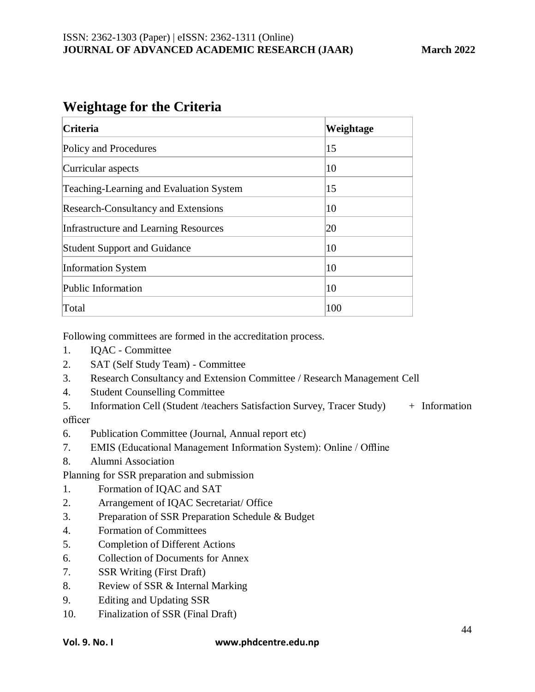## **Weightage for the Criteria**

| Criteria                                   | Weightage |
|--------------------------------------------|-----------|
| Policy and Procedures                      | 15        |
| Curricular aspects                         | 10        |
| Teaching-Learning and Evaluation System    | 15        |
| <b>Research-Consultancy and Extensions</b> | 10        |
| Infrastructure and Learning Resources      | 20        |
| <b>Student Support and Guidance</b>        | 10        |
| Information System                         | 10        |
| Public Information                         | 10        |
| Total                                      | 100       |

Following committees are formed in the accreditation process.

- 1. IQAC Committee
- 2. SAT (Self Study Team) Committee
- 3. Research Consultancy and Extension Committee / Research Management Cell
- 4. Student Counselling Committee
- 5. Information Cell (Student /teachers Satisfaction Survey, Tracer Study) + Information officer
- 6. Publication Committee (Journal, Annual report etc)
- 7. EMIS (Educational Management Information System): Online / Offline
- 8. Alumni Association

Planning for SSR preparation and submission

- 1. Formation of IQAC and SAT
- 2. Arrangement of IQAC Secretariat/ Office
- 3. Preparation of SSR Preparation Schedule & Budget
- 4. Formation of Committees
- 5. Completion of Different Actions
- 6. Collection of Documents for Annex
- 7. SSR Writing (First Draft)
- 8. Review of SSR & Internal Marking
- 9. Editing and Updating SSR
- 10. Finalization of SSR (Final Draft)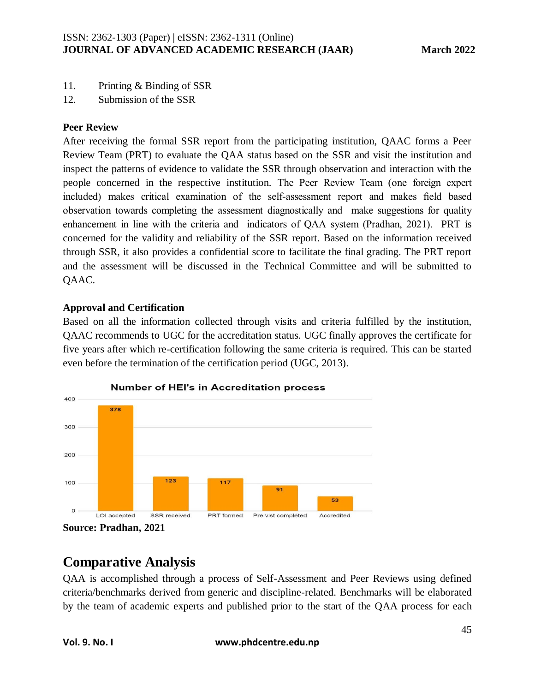- 11. Printing & Binding of SSR
- 12. Submission of the SSR

### **Peer Review**

After receiving the formal SSR report from the participating institution, QAAC forms a Peer Review Team (PRT) to evaluate the QAA status based on the SSR and visit the institution and inspect the patterns of evidence to validate the SSR through observation and interaction with the people concerned in the respective institution. The Peer Review Team (one foreign expert included) makes critical examination of the self-assessment report and makes field based observation towards completing the assessment diagnostically and make suggestions for quality enhancement in line with the criteria and indicators of QAA system (Pradhan, 2021). PRT is concerned for the validity and reliability of the SSR report. Based on the information received through SSR, it also provides a confidential score to facilitate the final grading. The PRT report and the assessment will be discussed in the Technical Committee and will be submitted to QAAC.

### **Approval and Certification**

Based on all the information collected through visits and criteria fulfilled by the institution, QAAC recommends to UGC for the accreditation status. UGC finally approves the certificate for five years after which re-certification following the same criteria is required. This can be started even before the termination of the certification period (UGC, 2013).



**Source: Pradhan, 2021**

## **Comparative Analysis**

QAA is accomplished through a process of Self-Assessment and Peer Reviews using defined criteria/benchmarks derived from generic and discipline-related. Benchmarks will be elaborated by the team of academic experts and published prior to the start of the QAA process for each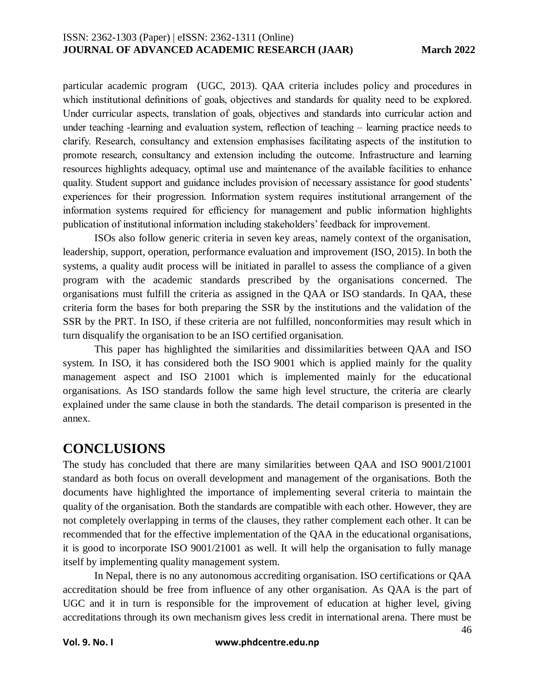particular academic program (UGC, 2013). QAA criteria includes policy and procedures in which institutional definitions of goals, objectives and standards for quality need to be explored. Under curricular aspects, translation of goals, objectives and standards into curricular action and under teaching -learning and evaluation system, reflection of teaching – learning practice needs to clarify. Research, consultancy and extension emphasises facilitating aspects of the institution to promote research, consultancy and extension including the outcome. Infrastructure and learning resources highlights adequacy, optimal use and maintenance of the available facilities to enhance quality. Student support and guidance includes provision of necessary assistance for good students' experiences for their progression. Information system requires institutional arrangement of the information systems required for efficiency for management and public information highlights publication of institutional information including stakeholders' feedback for improvement.

ISOs also follow generic criteria in seven key areas, namely context of the organisation, leadership, support, operation, performance evaluation and improvement (ISO, 2015). In both the systems, a quality audit process will be initiated in parallel to assess the compliance of a given program with the academic standards prescribed by the organisations concerned. The organisations must fulfill the criteria as assigned in the QAA or ISO standards. In QAA, these criteria form the bases for both preparing the SSR by the institutions and the validation of the SSR by the PRT. In ISO, if these criteria are not fulfilled, nonconformities may result which in turn disqualify the organisation to be an ISO certified organisation.

This paper has highlighted the similarities and dissimilarities between QAA and ISO system. In ISO, it has considered both the ISO 9001 which is applied mainly for the quality management aspect and ISO 21001 which is implemented mainly for the educational organisations. As ISO standards follow the same high level structure, the criteria are clearly explained under the same clause in both the standards. The detail comparison is presented in the annex.

### **CONCLUSIONS**

The study has concluded that there are many similarities between QAA and ISO 9001/21001 standard as both focus on overall development and management of the organisations. Both the documents have highlighted the importance of implementing several criteria to maintain the quality of the organisation. Both the standards are compatible with each other. However, they are not completely overlapping in terms of the clauses, they rather complement each other. It can be recommended that for the effective implementation of the QAA in the educational organisations, it is good to incorporate ISO 9001/21001 as well. It will help the organisation to fully manage itself by implementing quality management system.

In Nepal, there is no any autonomous accrediting organisation. ISO certifications or QAA accreditation should be free from influence of any other organisation. As QAA is the part of UGC and it in turn is responsible for the improvement of education at higher level, giving accreditations through its own mechanism gives less credit in international arena. There must be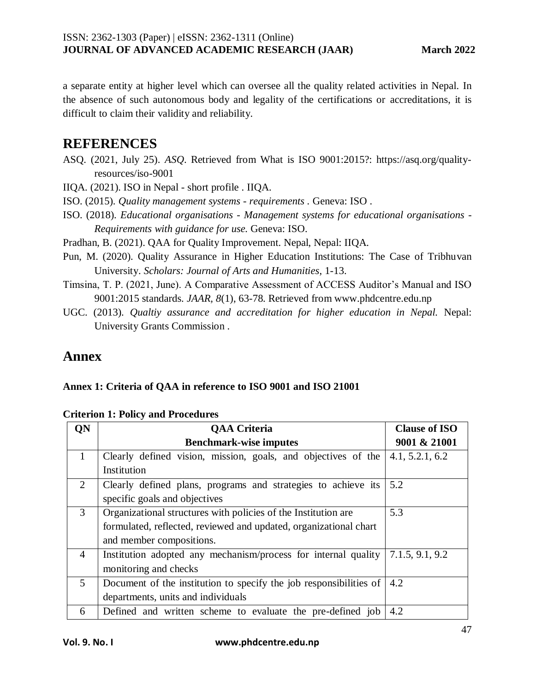a separate entity at higher level which can oversee all the quality related activities in Nepal. In the absence of such autonomous body and legality of the certifications or accreditations, it is difficult to claim their validity and reliability.

### **REFERENCES**

ASQ. (2021, July 25). *ASQ*. Retrieved from What is ISO 9001:2015?: https://asq.org/qualityresources/iso-9001

IIQA. (2021). ISO in Nepal - short profile . IIQA.

- ISO. (2015). *Quality management systems - requirements .* Geneva: ISO .
- ISO. (2018). *Educational organisations - Management systems for educational organisations - Requirements with guidance for use.* Geneva: ISO.
- Pradhan, B. (2021). QAA for Quality Improvement. Nepal, Nepal: IIQA.
- Pun, M. (2020). Quality Assurance in Higher Education Institutions: The Case of Tribhuvan University. *Scholars: Journal of Arts and Humanities*, 1-13.
- Timsina, T. P. (2021, June). A Comparative Assessment of ACCESS Auditor's Manual and ISO 9001:2015 standards. *JAAR, 8*(1), 63-78. Retrieved from www.phdcentre.edu.np
- UGC. (2013). *Qualtiy assurance and accreditation for higher education in Nepal.* Nepal: University Grants Commission .

### **Annex**

### **Annex 1: Criteria of QAA in reference to ISO 9001 and ISO 21001**

|                | <b>QAA Criteria</b>                                                | <b>Clause of ISO</b> |
|----------------|--------------------------------------------------------------------|----------------------|
|                | <b>Benchmark-wise imputes</b>                                      | 9001 & 21001         |
| $\mathbf{1}$   | Clearly defined vision, mission, goals, and objectives of the      | 4.1, 5.2.1, 6.2      |
|                | Institution                                                        |                      |
| 2              | Clearly defined plans, programs and strategies to achieve its      | 5.2                  |
|                | specific goals and objectives                                      |                      |
| 3              | Organizational structures with policies of the Institution are     | 5.3                  |
|                | formulated, reflected, reviewed and updated, organizational chart  |                      |
|                | and member compositions.                                           |                      |
| $\overline{4}$ | Institution adopted any mechanism/process for internal quality     | 7.1.5, 9.1, 9.2      |
|                | monitoring and checks                                              |                      |
| 5 <sup>5</sup> | Document of the institution to specify the job responsibilities of | 4.2                  |
|                | departments, units and individuals                                 |                      |
| 6              | Defined and written scheme to evaluate the pre-defined job         | 4.2                  |

#### **Criterion 1: Policy and Procedures**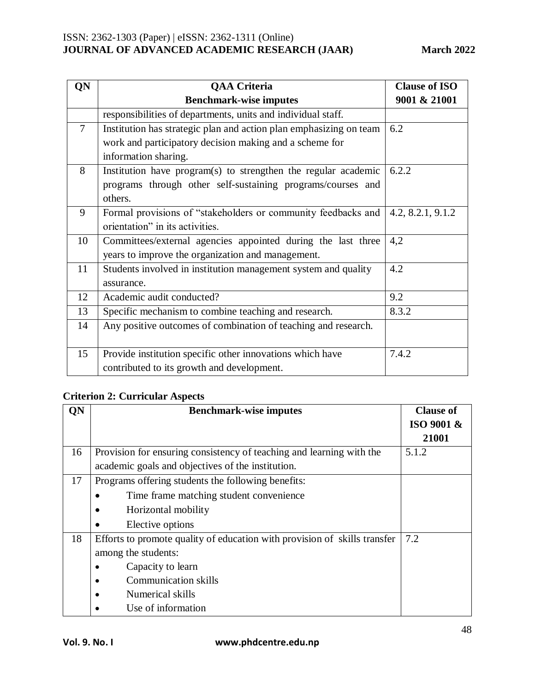| QN     | <b>QAA Criteria</b>                                                | <b>Clause of ISO</b> |
|--------|--------------------------------------------------------------------|----------------------|
|        | <b>Benchmark-wise imputes</b>                                      | 9001 & 21001         |
|        | responsibilities of departments, units and individual staff.       |                      |
| $\tau$ | Institution has strategic plan and action plan emphasizing on team | 6.2                  |
|        | work and participatory decision making and a scheme for            |                      |
|        | information sharing.                                               |                      |
| 8      | Institution have program(s) to strengthen the regular academic     | 6.2.2                |
|        | programs through other self-sustaining programs/courses and        |                      |
|        | others.                                                            |                      |
| 9      | Formal provisions of "stakeholders or community feedbacks and      | 4.2, 8.2.1, 9.1.2    |
|        | orientation" in its activities.                                    |                      |
| 10     | Committees/external agencies appointed during the last three       | 4,2                  |
|        | years to improve the organization and management.                  |                      |
| 11     | Students involved in institution management system and quality     | 4.2                  |
|        | assurance.                                                         |                      |
| 12     | Academic audit conducted?                                          | 9.2                  |
| 13     | Specific mechanism to combine teaching and research.               | 8.3.2                |
| 14     | Any positive outcomes of combination of teaching and research.     |                      |
|        |                                                                    |                      |
| 15     | Provide institution specific other innovations which have          | 7.4.2                |
|        | contributed to its growth and development.                         |                      |

### **Criterion 2: Curricular Aspects**

| QN | <b>Benchmark-wise imputes</b>                                             | <b>Clause of</b> |
|----|---------------------------------------------------------------------------|------------------|
|    |                                                                           | ISO 9001 &       |
|    |                                                                           | 21001            |
| 16 | Provision for ensuring consistency of teaching and learning with the      | 5.1.2            |
|    | academic goals and objectives of the institution.                         |                  |
| 17 | Programs offering students the following benefits:                        |                  |
|    | Time frame matching student convenience                                   |                  |
|    | Horizontal mobility                                                       |                  |
|    | Elective options                                                          |                  |
| 18 | Efforts to promote quality of education with provision of skills transfer | 7.2              |
|    | among the students:                                                       |                  |
|    | Capacity to learn                                                         |                  |
|    | <b>Communication skills</b>                                               |                  |
|    | Numerical skills                                                          |                  |
|    | Use of information                                                        |                  |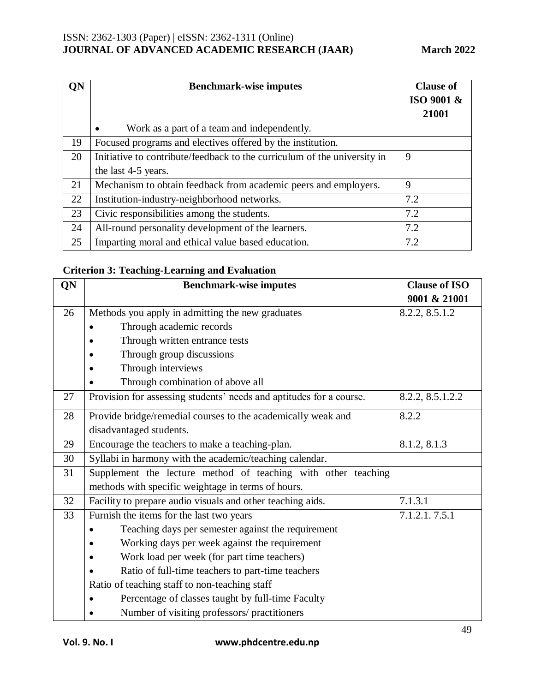| <b>QN</b> | <b>Benchmark-wise imputes</b>                                            | <b>Clause of</b> |
|-----------|--------------------------------------------------------------------------|------------------|
|           |                                                                          | ISO 9001 &       |
|           |                                                                          | 21001            |
|           | Work as a part of a team and independently.<br>$\bullet$                 |                  |
| 19        | Focused programs and electives offered by the institution.               |                  |
| 20        | Initiative to contribute/feedback to the curriculum of the university in | 9                |
|           | the last 4-5 years.                                                      |                  |
| 21        | Mechanism to obtain feedback from academic peers and employers.          | 9                |
| 22        | Institution-industry-neighborhood networks.                              | 7.2              |
| 23        | Civic responsibilities among the students.                               | 7.2              |
| 24        | All-round personality development of the learners.                       | 7.2              |
| 25        | Imparting moral and ethical value based education.                       | 7.2              |

### **Criterion 3: Teaching-Learning and Evaluation**

| QN | <b>Benchmark-wise imputes</b>                                       | <b>Clause of ISO</b> |
|----|---------------------------------------------------------------------|----------------------|
|    |                                                                     | 9001 & 21001         |
| 26 | Methods you apply in admitting the new graduates                    | 8.2.2, 8.5.1.2       |
|    | Through academic records                                            |                      |
|    | Through written entrance tests                                      |                      |
|    | Through group discussions                                           |                      |
|    | Through interviews                                                  |                      |
|    | Through combination of above all                                    |                      |
| 27 | Provision for assessing students' needs and aptitudes for a course. | 8.2.2, 8.5.1.2.2     |
| 28 | Provide bridge/remedial courses to the academically weak and        | 8.2.2                |
|    | disadvantaged students.                                             |                      |
| 29 | Encourage the teachers to make a teaching-plan.                     | 8.1.2, 8.1.3         |
| 30 | Syllabi in harmony with the academic/teaching calendar.             |                      |
| 31 | Supplement the lecture method of teaching with other teaching       |                      |
|    | methods with specific weightage in terms of hours.                  |                      |
| 32 | Facility to prepare audio visuals and other teaching aids.          | 7.1.3.1              |
| 33 | Furnish the items for the last two years                            | 7.1.2.1.7.5.1        |
|    | Teaching days per semester against the requirement                  |                      |
|    | Working days per week against the requirement                       |                      |
|    | Work load per week (for part time teachers)                         |                      |
|    | Ratio of full-time teachers to part-time teachers                   |                      |
|    | Ratio of teaching staff to non-teaching staff                       |                      |
|    | Percentage of classes taught by full-time Faculty                   |                      |
|    | Number of visiting professors/ practitioners                        |                      |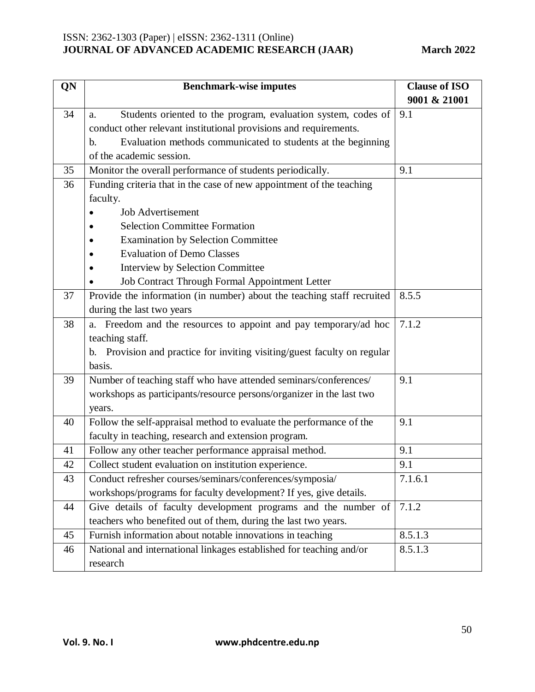| QN | <b>Benchmark-wise imputes</b>                                            | <b>Clause of ISO</b> |
|----|--------------------------------------------------------------------------|----------------------|
|    |                                                                          | 9001 & 21001         |
| 34 | Students oriented to the program, evaluation system, codes of<br>a.      | 9.1                  |
|    | conduct other relevant institutional provisions and requirements.        |                      |
|    | Evaluation methods communicated to students at the beginning<br>b.       |                      |
|    | of the academic session.                                                 |                      |
| 35 | Monitor the overall performance of students periodically.                | 9.1                  |
| 36 | Funding criteria that in the case of new appointment of the teaching     |                      |
|    | faculty.                                                                 |                      |
|    | <b>Job Advertisement</b>                                                 |                      |
|    | <b>Selection Committee Formation</b>                                     |                      |
|    | <b>Examination by Selection Committee</b>                                |                      |
|    | <b>Evaluation of Demo Classes</b>                                        |                      |
|    | <b>Interview by Selection Committee</b>                                  |                      |
|    | Job Contract Through Formal Appointment Letter                           |                      |
| 37 | Provide the information (in number) about the teaching staff recruited   | 8.5.5                |
|    | during the last two years                                                |                      |
| 38 | a. Freedom and the resources to appoint and pay temporary/ad hoc         | 7.1.2                |
|    | teaching staff.                                                          |                      |
|    | b. Provision and practice for inviting visiting/guest faculty on regular |                      |
|    | basis.                                                                   |                      |
| 39 | Number of teaching staff who have attended seminars/conferences/         | 9.1                  |
|    | workshops as participants/resource persons/organizer in the last two     |                      |
|    | years.                                                                   |                      |
| 40 | Follow the self-appraisal method to evaluate the performance of the      | 9.1                  |
|    | faculty in teaching, research and extension program.                     |                      |
| 41 | Follow any other teacher performance appraisal method.                   | 9.1                  |
| 42 | Collect student evaluation on institution experience.                    | 9.1                  |
| 43 | Conduct refresher courses/seminars/conferences/symposia/                 | 7.1.6.1              |
|    | workshops/programs for faculty development? If yes, give details.        |                      |
| 44 | Give details of faculty development programs and the number of           | 7.1.2                |
|    | teachers who benefited out of them, during the last two years.           |                      |
| 45 | Furnish information about notable innovations in teaching                | 8.5.1.3              |
| 46 | National and international linkages established for teaching and/or      | 8.5.1.3              |
|    | research                                                                 |                      |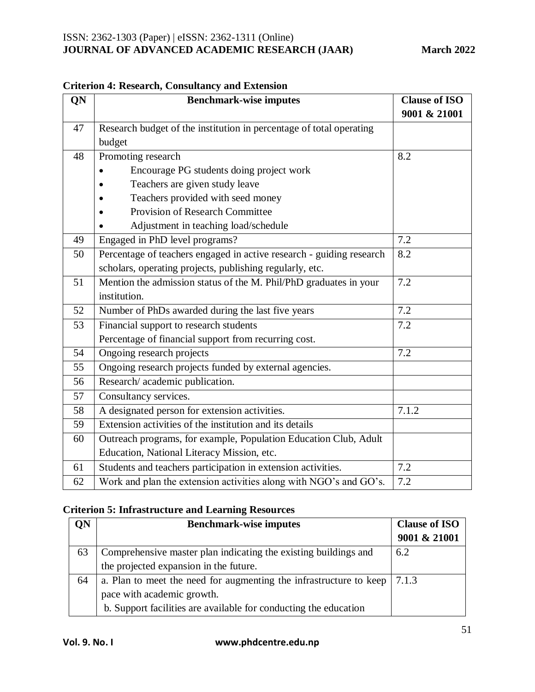| QN | <b>Benchmark-wise imputes</b>                                        | <b>Clause of ISO</b> |
|----|----------------------------------------------------------------------|----------------------|
|    |                                                                      | 9001 & 21001         |
| 47 | Research budget of the institution in percentage of total operating  |                      |
|    | budget                                                               |                      |
| 48 | Promoting research                                                   | 8.2                  |
|    | Encourage PG students doing project work                             |                      |
|    | Teachers are given study leave                                       |                      |
|    | Teachers provided with seed money                                    |                      |
|    | <b>Provision of Research Committee</b>                               |                      |
|    | Adjustment in teaching load/schedule                                 |                      |
| 49 | Engaged in PhD level programs?                                       | 7.2                  |
| 50 | Percentage of teachers engaged in active research - guiding research | 8.2                  |
|    | scholars, operating projects, publishing regularly, etc.             |                      |
| 51 | Mention the admission status of the M. Phil/PhD graduates in your    | 7.2                  |
|    | institution.                                                         |                      |
| 52 | Number of PhDs awarded during the last five years                    | 7.2                  |
| 53 | Financial support to research students                               | 7.2                  |
|    | Percentage of financial support from recurring cost.                 |                      |
| 54 | Ongoing research projects                                            | 7.2                  |
| 55 | Ongoing research projects funded by external agencies.               |                      |
| 56 | Research/ academic publication.                                      |                      |
| 57 | Consultancy services.                                                |                      |
| 58 | A designated person for extension activities.                        | 7.1.2                |
| 59 | Extension activities of the institution and its details              |                      |
| 60 | Outreach programs, for example, Population Education Club, Adult     |                      |
|    | Education, National Literacy Mission, etc.                           |                      |
| 61 | Students and teachers participation in extension activities.         | 7.2                  |
| 62 | Work and plan the extension activities along with NGO's and GO's.    | 7.2                  |

### **Criterion 4: Research, Consultancy and Extension**

### **Criterion 5: Infrastructure and Learning Resources**

| QN | <b>Benchmark-wise imputes</b>                                      | <b>Clause of ISO</b> |
|----|--------------------------------------------------------------------|----------------------|
|    |                                                                    | 9001 & 21001         |
| 63 | Comprehensive master plan indicating the existing buildings and    | 6.2                  |
|    | the projected expansion in the future.                             |                      |
| 64 | a. Plan to meet the need for augmenting the infrastructure to keep | 7.1.3                |
|    | pace with academic growth.                                         |                      |
|    | b. Support facilities are available for conducting the education   |                      |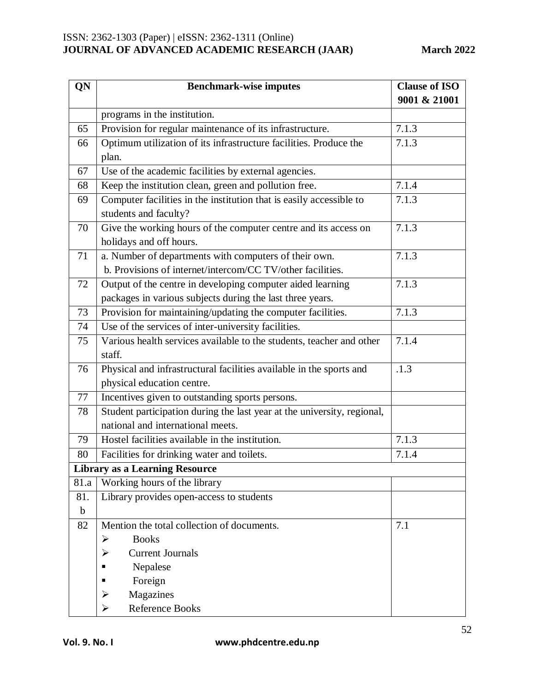| QN          | <b>Benchmark-wise imputes</b>                                           | <b>Clause of ISO</b> |
|-------------|-------------------------------------------------------------------------|----------------------|
|             |                                                                         | 9001 & 21001         |
|             | programs in the institution.                                            |                      |
| 65          | Provision for regular maintenance of its infrastructure.                | 7.1.3                |
| 66          | Optimum utilization of its infrastructure facilities. Produce the       | 7.1.3                |
|             | plan.                                                                   |                      |
| 67          | Use of the academic facilities by external agencies.                    |                      |
| 68          | Keep the institution clean, green and pollution free.                   | 7.1.4                |
| 69          | Computer facilities in the institution that is easily accessible to     | 7.1.3                |
|             | students and faculty?                                                   |                      |
| 70          | Give the working hours of the computer centre and its access on         | 7.1.3                |
|             | holidays and off hours.                                                 |                      |
| 71          | a. Number of departments with computers of their own.                   | 7.1.3                |
|             | b. Provisions of internet/intercom/CC TV/other facilities.              |                      |
| 72          | Output of the centre in developing computer aided learning              | 7.1.3                |
|             | packages in various subjects during the last three years.               |                      |
| 73          | Provision for maintaining/updating the computer facilities.             | 7.1.3                |
| 74          | Use of the services of inter-university facilities.                     |                      |
| 75          | Various health services available to the students, teacher and other    | 7.1.4                |
|             | staff.                                                                  |                      |
| 76          | Physical and infrastructural facilities available in the sports and     | .1.3                 |
|             | physical education centre.                                              |                      |
| 77          | Incentives given to outstanding sports persons.                         |                      |
| 78          | Student participation during the last year at the university, regional, |                      |
|             | national and international meets.                                       |                      |
| 79          | Hostel facilities available in the institution.                         | 7.1.3                |
| 80          | Facilities for drinking water and toilets.                              | 7.1.4                |
|             | <b>Library as a Learning Resource</b>                                   |                      |
| 81.a        | Working hours of the library                                            |                      |
| 81.         | Library provides open-access to students                                |                      |
| $\mathbf b$ |                                                                         |                      |
| 82          | Mention the total collection of documents.                              | 7.1                  |
|             | <b>Books</b><br>≻                                                       |                      |
|             | <b>Current Journals</b><br>⋗                                            |                      |
|             | Nepalese                                                                |                      |
|             | Foreign                                                                 |                      |
|             | Magazines<br>➤                                                          |                      |
|             | <b>Reference Books</b><br>➤                                             |                      |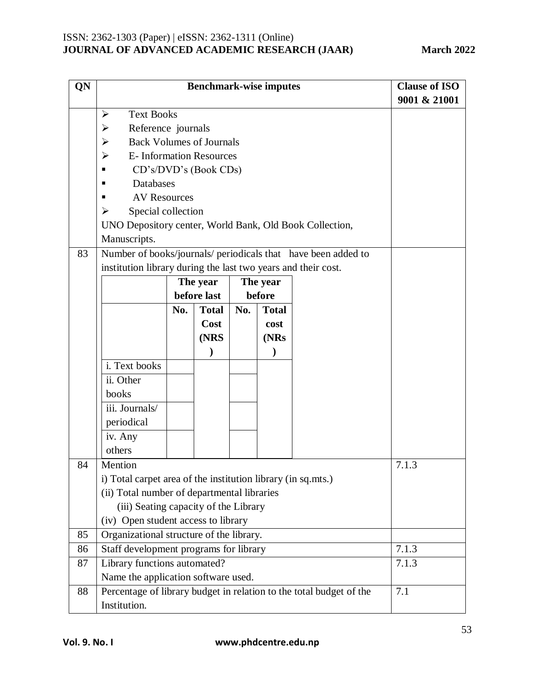| QN | <b>Benchmark-wise imputes</b>                                       |     |              |     | <b>Clause of ISO</b> |                                                               |       |
|----|---------------------------------------------------------------------|-----|--------------|-----|----------------------|---------------------------------------------------------------|-------|
|    |                                                                     |     |              |     |                      | 9001 & 21001                                                  |       |
|    | <b>Text Books</b><br>$\blacktriangleright$                          |     |              |     |                      |                                                               |       |
|    | Reference journals<br>➤                                             |     |              |     |                      |                                                               |       |
|    | <b>Back Volumes of Journals</b><br>➤                                |     |              |     |                      |                                                               |       |
|    | <b>E-</b> Information Resources<br>➤                                |     |              |     |                      |                                                               |       |
|    | CD's/DVD's (Book CDs)                                               |     |              |     |                      |                                                               |       |
|    | Databases                                                           |     |              |     |                      |                                                               |       |
|    | <b>AV Resources</b>                                                 |     |              |     |                      |                                                               |       |
|    | Special collection<br>➤                                             |     |              |     |                      |                                                               |       |
|    | UNO Depository center, World Bank, Old Book Collection,             |     |              |     |                      |                                                               |       |
|    | Manuscripts.                                                        |     |              |     |                      |                                                               |       |
| 83 |                                                                     |     |              |     |                      | Number of books/journals/ periodicals that have been added to |       |
|    | institution library during the last two years and their cost.       |     |              |     |                      |                                                               |       |
|    |                                                                     |     | The year     |     | The year             |                                                               |       |
|    |                                                                     |     | before last  |     | before               |                                                               |       |
|    |                                                                     | No. | <b>Total</b> | No. | <b>Total</b>         |                                                               |       |
|    |                                                                     |     | Cost         |     | cost                 |                                                               |       |
|    |                                                                     |     | (NRS         |     | (NRs                 |                                                               |       |
|    |                                                                     |     |              |     |                      |                                                               |       |
|    | i. Text books                                                       |     |              |     |                      |                                                               |       |
|    | ii. Other                                                           |     |              |     |                      |                                                               |       |
|    | books                                                               |     |              |     |                      |                                                               |       |
|    | iii. Journals/                                                      |     |              |     |                      |                                                               |       |
|    | periodical                                                          |     |              |     |                      |                                                               |       |
|    | iv. Any                                                             |     |              |     |                      |                                                               |       |
|    | others                                                              |     |              |     |                      |                                                               |       |
| 84 | Mention                                                             |     |              |     |                      |                                                               | 7.1.3 |
|    | i) Total carpet area of the institution library (in sq.mts.)        |     |              |     |                      |                                                               |       |
|    | (ii) Total number of departmental libraries                         |     |              |     |                      |                                                               |       |
|    | (iii) Seating capacity of the Library                               |     |              |     |                      |                                                               |       |
|    | (iv) Open student access to library                                 |     |              |     |                      |                                                               |       |
| 85 | Organizational structure of the library.                            |     |              |     |                      |                                                               |       |
| 86 | Staff development programs for library                              |     |              |     | 7.1.3                |                                                               |       |
| 87 | Library functions automated?                                        |     |              |     |                      |                                                               | 7.1.3 |
|    | Name the application software used.                                 |     |              |     |                      |                                                               |       |
| 88 | Percentage of library budget in relation to the total budget of the |     |              |     | 7.1                  |                                                               |       |
|    | Institution.                                                        |     |              |     |                      |                                                               |       |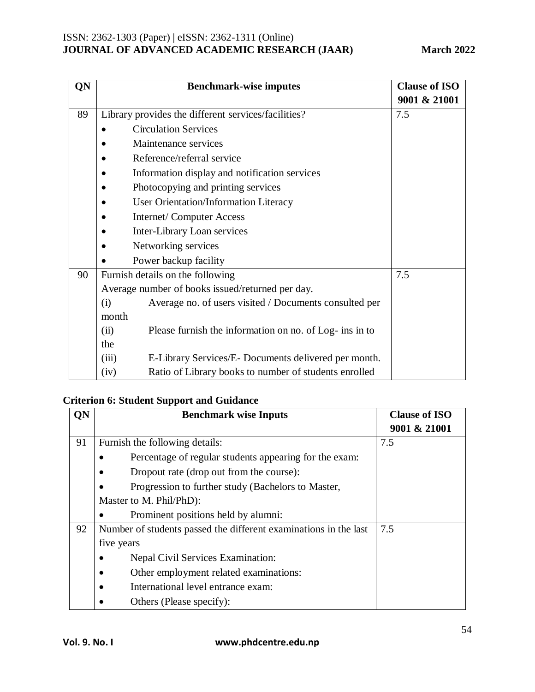| QN | <b>Benchmark-wise imputes</b>                                   | <b>Clause of ISO</b> |
|----|-----------------------------------------------------------------|----------------------|
|    |                                                                 | 9001 & 21001         |
| 89 | Library provides the different services/facilities?             | 7.5                  |
|    | <b>Circulation Services</b>                                     |                      |
|    | Maintenance services                                            |                      |
|    | Reference/referral service                                      |                      |
|    | Information display and notification services                   |                      |
|    | Photocopying and printing services                              |                      |
|    | <b>User Orientation/Information Literacy</b>                    |                      |
|    | <b>Internet/Computer Access</b>                                 |                      |
|    | Inter-Library Loan services                                     |                      |
|    | Networking services                                             |                      |
|    | Power backup facility                                           |                      |
| 90 | Furnish details on the following                                | 7.5                  |
|    | Average number of books issued/returned per day.                |                      |
|    | Average no. of users visited / Documents consulted per<br>(i)   |                      |
|    | month                                                           |                      |
|    | (ii)<br>Please furnish the information on no. of Log- ins in to |                      |
|    | the                                                             |                      |
|    | (iii)<br>E-Library Services/E-Documents delivered per month.    |                      |
|    | Ratio of Library books to number of students enrolled<br>(iv)   |                      |

### **Criterion 6: Student Support and Guidance**

| QN | <b>Benchmark wise Inputs</b>                                     | <b>Clause of ISO</b> |
|----|------------------------------------------------------------------|----------------------|
|    |                                                                  | 9001 & 21001         |
| 91 | Furnish the following details:                                   | 7.5                  |
|    | Percentage of regular students appearing for the exam:           |                      |
|    | Dropout rate (drop out from the course):                         |                      |
|    | Progression to further study (Bachelors to Master,               |                      |
|    | Master to M. Phil/PhD):                                          |                      |
|    | Prominent positions held by alumni:                              |                      |
| 92 | Number of students passed the different examinations in the last | 7.5                  |
|    | five years                                                       |                      |
|    | Nepal Civil Services Examination:                                |                      |
|    | Other employment related examinations:                           |                      |
|    | International level entrance exam:                               |                      |
|    | Others (Please specify):                                         |                      |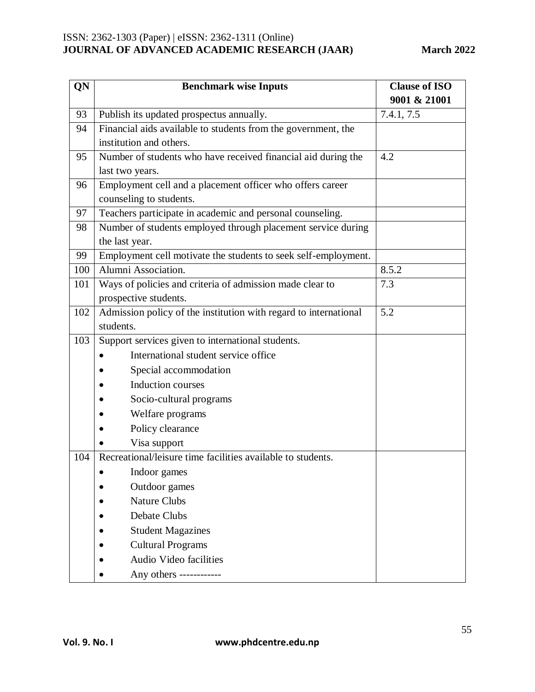| QN  | <b>Benchmark wise Inputs</b>                                     | <b>Clause of ISO</b> |
|-----|------------------------------------------------------------------|----------------------|
|     |                                                                  | 9001 & 21001         |
| 93  | Publish its updated prospectus annually.                         | 7.4.1, 7.5           |
| 94  | Financial aids available to students from the government, the    |                      |
|     | institution and others.                                          |                      |
| 95  | Number of students who have received financial aid during the    | 4.2                  |
|     | last two years.                                                  |                      |
| 96  | Employment cell and a placement officer who offers career        |                      |
|     | counseling to students.                                          |                      |
| 97  | Teachers participate in academic and personal counseling.        |                      |
| 98  | Number of students employed through placement service during     |                      |
|     | the last year.                                                   |                      |
| 99  | Employment cell motivate the students to seek self-employment.   |                      |
| 100 | Alumni Association.                                              | 8.5.2                |
| 101 | Ways of policies and criteria of admission made clear to         | 7.3                  |
|     | prospective students.                                            |                      |
| 102 | Admission policy of the institution with regard to international | 5.2                  |
|     | students.                                                        |                      |
| 103 | Support services given to international students.                |                      |
|     | International student service office                             |                      |
|     | Special accommodation                                            |                      |
|     | <b>Induction courses</b>                                         |                      |
|     | Socio-cultural programs                                          |                      |
|     | Welfare programs                                                 |                      |
|     | Policy clearance                                                 |                      |
|     | Visa support                                                     |                      |
| 104 | Recreational/leisure time facilities available to students.      |                      |
|     | Indoor games                                                     |                      |
|     | Outdoor games                                                    |                      |
|     | <b>Nature Clubs</b>                                              |                      |
|     | <b>Debate Clubs</b>                                              |                      |
|     | <b>Student Magazines</b>                                         |                      |
|     | <b>Cultural Programs</b>                                         |                      |
|     | Audio Video facilities                                           |                      |
|     | Any others ------------                                          |                      |